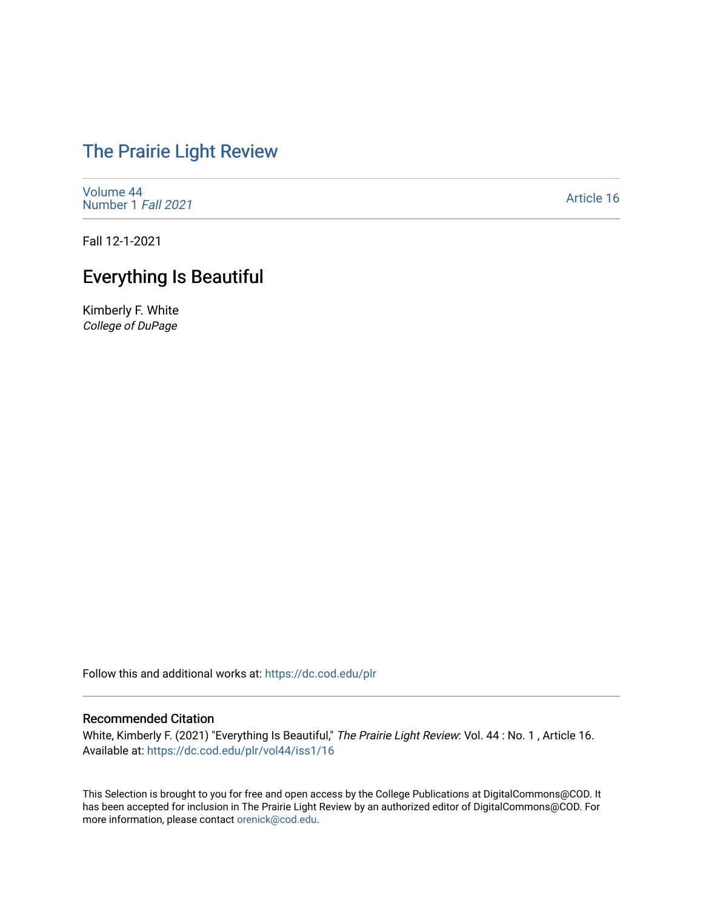# [The Prairie Light Review](https://dc.cod.edu/plr)

[Volume 44](https://dc.cod.edu/plr/vol44) [Number 1](https://dc.cod.edu/plr/vol44/iss1) Fall 2021

[Article 16](https://dc.cod.edu/plr/vol44/iss1/16) 

Fall 12-1-2021

## Everything Is Beautiful

Kimberly F. White College of DuPage

Follow this and additional works at: [https://dc.cod.edu/plr](https://dc.cod.edu/plr?utm_source=dc.cod.edu%2Fplr%2Fvol44%2Fiss1%2F16&utm_medium=PDF&utm_campaign=PDFCoverPages) 

#### Recommended Citation

White, Kimberly F. (2021) "Everything Is Beautiful," The Prairie Light Review: Vol. 44 : No. 1, Article 16. Available at: [https://dc.cod.edu/plr/vol44/iss1/16](https://dc.cod.edu/plr/vol44/iss1/16?utm_source=dc.cod.edu%2Fplr%2Fvol44%2Fiss1%2F16&utm_medium=PDF&utm_campaign=PDFCoverPages)

This Selection is brought to you for free and open access by the College Publications at DigitalCommons@COD. It has been accepted for inclusion in The Prairie Light Review by an authorized editor of DigitalCommons@COD. For more information, please contact [orenick@cod.edu.](mailto:orenick@cod.edu)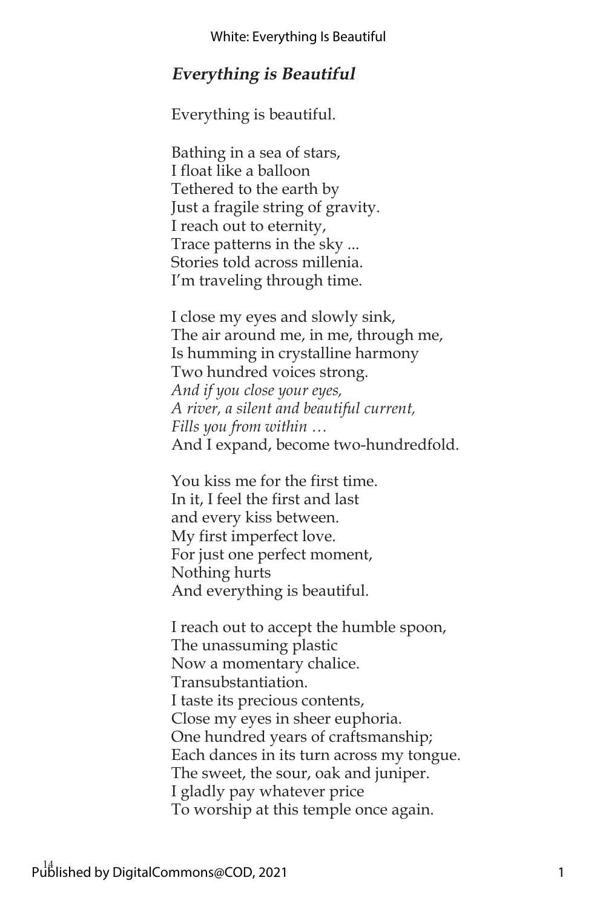### **Everything is Beautiful**

Everything is beautiful.

Bathing in a sea of stars, I float like a balloon Tethered to the earth by Just a fragile string of gravity. I reach out to eternity, Trace patterns in the sky ... Stories told across millenia. I'm traveling through time.

I close my eyes and slowly sink, The air around me, in me, through me, Is humming in crystalline harmony Two hundred voices strong. *And if you close your eyes, A river, a silent and beautiful current, Fills you from within …* And I expand, become two-hundredfold.

You kiss me for the first time. In it, I feel the first and last and every kiss between. My first imperfect love. For just one perfect moment, Nothing hurts And everything is beautiful.

I reach out to accept the humble spoon, The unassuming plastic Now a momentary chalice. Transubstantiation. I taste its precious contents, Close my eyes in sheer euphoria. One hundred years of craftsmanship; Each dances in its turn across my tongue. The sweet, the sour, oak and juniper. I gladly pay whatever price To worship at this temple once again.